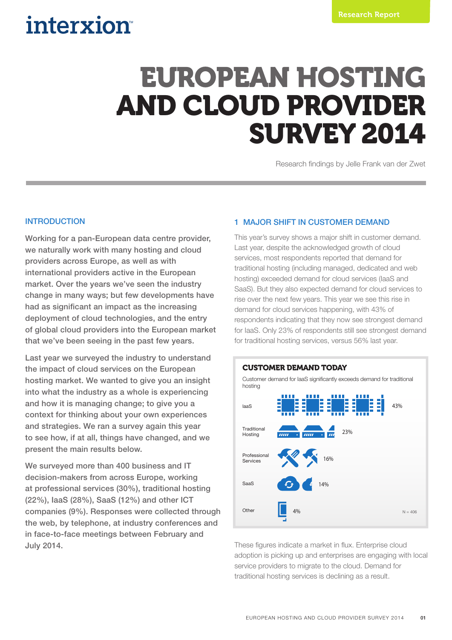## interxion

# EUROPEAN HOSTING AND CLOUD PROVIDER SURVEY 2014

Research findings by Jelle Frank van der Zwet

#### INTRODUCTION

Working for a pan-European data centre provider, we naturally work with many hosting and cloud providers across Europe, as well as with international providers active in the European market. Over the years we've seen the industry change in many ways; but few developments have had as significant an impact as the increasing deployment of cloud technologies, and the entry of global cloud providers into the European market that we've been seeing in the past few years.

Last year we surveyed the industry to understand the impact of cloud services on the European hosting market. We wanted to give you an insight into what the industry as a whole is experiencing and how it is managing change; to give you a context for thinking about your own experiences and strategies. We ran a survey again this year to see how, if at all, things have changed, and we present the main results below.

We surveyed more than 400 business and IT decision-makers from across Europe, working at professional services (30%), traditional hosting (22%), IaaS (28%), SaaS (12%) and other ICT companies (9%). Responses were collected through the web, by telephone, at industry conferences and in face-to-face meetings between February and July 2014.

#### 1 MAJOR SHIFT IN CUSTOMER DEMAND

This year's survey shows a major shift in customer demand. Last year, despite the acknowledged growth of cloud services, most respondents reported that demand for traditional hosting (including managed, dedicated and web hosting) exceeded demand for cloud services (IaaS and SaaS). But they also expected demand for cloud services to rise over the next few years. This year we see this rise in demand for cloud services happening, with 43% of respondents indicating that they now see strongest demand for IaaS. Only 23% of respondents still see strongest demand for traditional hosting services, versus 56% last year.



These figures indicate a market in flux. Enterprise cloud adoption is picking up and enterprises are engaging with local service providers to migrate to the cloud. Demand for traditional hosting services is declining as a result.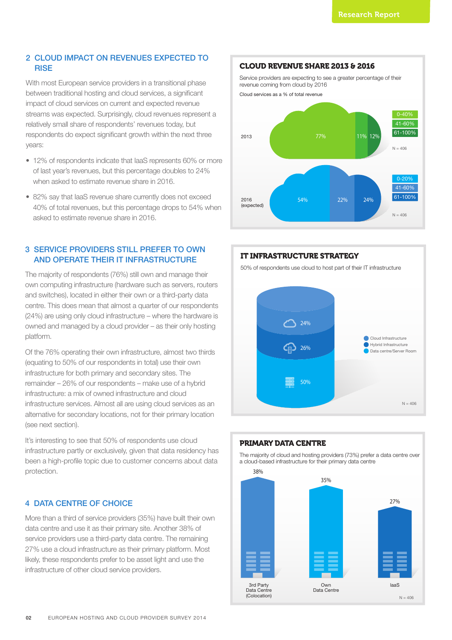#### 2 CLOUD IMPACT ON REVENUES EXPECTED TO **RISE**

With most European service providers in a transitional phase between traditional hosting and cloud services, a significant impact of cloud services on current and expected revenue streams was expected. Surprisingly, cloud revenues represent a relatively small share of respondents' revenues today, but respondents do expect significant growth within the next three years:

- 12% of respondents indicate that IaaS represents 60% or more of last year's revenues, but this percentage doubles to 24% when asked to estimate revenue share in 2016.
- 82% say that IaaS revenue share currently does not exceed 40% of total revenues, but this percentage drops to 54% when asked to estimate revenue share in 2016.

#### 3 SERVICE PROVIDERS STILL PREFER TO OWN AND OPERATE THEIR IT INFRASTRUCTURE

The majority of respondents (76%) still own and manage their own computing infrastructure (hardware such as servers, routers and switches), located in either their own or a third-party data centre. This does mean that almost a quarter of our respondents (24%) are using only cloud infrastructure – where the hardware is owned and managed by a cloud provider – as their only hosting platform.

Of the 76% operating their own infrastructure, almost two thirds (equating to 50% of our respondents in total) use their own infrastructure for both primary and secondary sites. The remainder – 26% of our respondents – make use of a hybrid infrastructure: a mix of owned infrastructure and cloud infrastructure services. Almost all are using cloud services as an alternative for secondary locations, not for their primary location (see next section).

It's interesting to see that 50% of respondents use cloud infrastructure partly or exclusively, given that data residency has been a high-profile topic due to customer concerns about data protection.

#### 4 DATA CENTRE OF CHOICE

More than a third of service providers (35%) have built their own data centre and use it as their primary site. Another 38% of service providers use a third-party data centre. The remaining 27% use a cloud infrastructure as their primary platform. Most likely, these respondents prefer to be asset light and use the infrastructure of other cloud service providers.



#### IT INFRASTRUCTURE STRATEGY

50% of respondents use cloud to host part of their IT infrastructure



### 3rd Party Data Centre (Colocation) laaS 38% 27% a cloud-based infrastructure for their primary data centre  $N = 406$ Own Data Centre 35%

#### PRIMARY DATA CENTRE

The majority of cloud and hosting providers (73%) prefer a data centre over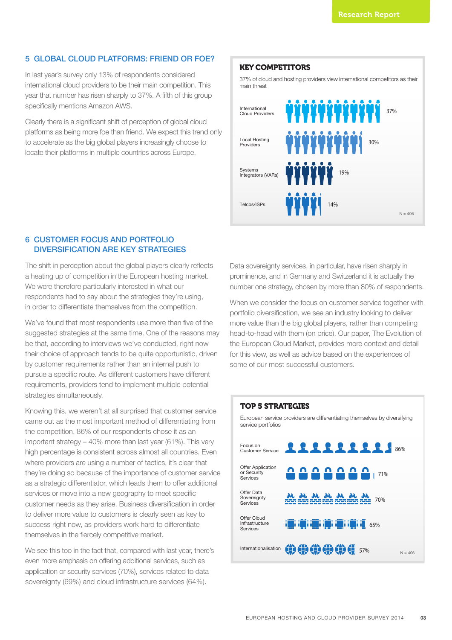#### 5 GLOBAL CLOUD PLATFORMS: FRIEND OR FOE?

In last year's survey only 13% of respondents considered international cloud providers to be their main competition. This year that number has risen sharply to 37%. A fifth of this group specifically mentions Amazon AWS.

Clearly there is a significant shift of perception of global cloud platforms as being more foe than friend. We expect this trend only to accelerate as the big global players increasingly choose to locate their platforms in multiple countries across Europe.

#### KEY COMPETITORS

37% of cloud and hosting providers view international competitors as their main threat



#### 6 CUSTOMER FOCUS AND PORTFOLIO DIVERSIFICATION ARE KEY STRATEGIES

The shift in perception about the global players clearly reflects a heating up of competition in the European hosting market. We were therefore particularly interested in what our respondents had to say about the strategies they're using, in order to differentiate themselves from the competition.

We've found that most respondents use more than five of the suggested strategies at the same time. One of the reasons may be that, according to interviews we've conducted, right now their choice of approach tends to be quite opportunistic, driven by customer requirements rather than an internal push to pursue a specific route. As different customers have different requirements, providers tend to implement multiple potential strategies simultaneously.

Knowing this, we weren't at all surprised that customer service came out as the most important method of differentiating from the competition. 86% of our respondents chose it as an important strategy – 40% more than last year (61%). This very high percentage is consistent across almost all countries. Even where providers are using a number of tactics, it's clear that they're doing so because of the importance of customer service as a strategic differentiator, which leads them to offer additional services or move into a new geography to meet specific customer needs as they arise. Business diversification in order to deliver more value to customers is clearly seen as key to success right now, as providers work hard to differentiate themselves in the fiercely competitive market.

We see this too in the fact that, compared with last year, there's even more emphasis on offering additional services, such as application or security services (70%), services related to data sovereignty (69%) and cloud infrastructure services (64%).

Data sovereignty services, in particular, have risen sharply in prominence, and in Germany and Switzerland it is actually the number one strategy, chosen by more than 80% of respondents.

When we consider the focus on customer service together with portfolio diversification, we see an industry looking to deliver more value than the big global players, rather than competing head-to-head with them (on price). Our paper, The Evolution of the European Cloud Market, provides more context and detail for this view, as well as advice based on the experiences of some of our most successful customers.

#### TOP 5 STRATEGIES

European service providers are differentiating themselves by diversifying service portfolios